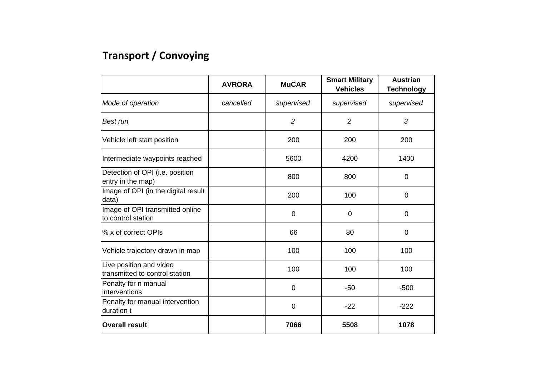## **Transport / Convoying**

|                                                           | <b>AVRORA</b> | <b>MuCAR</b>   | <b>Smart Military</b><br><b>Vehicles</b> | <b>Austrian</b><br><b>Technology</b> |
|-----------------------------------------------------------|---------------|----------------|------------------------------------------|--------------------------------------|
| Mode of operation                                         | cancelled     | supervised     | supervised                               | supervised                           |
| Best run                                                  |               | $\overline{2}$ | $\overline{2}$                           | 3                                    |
| Vehicle left start position                               |               | 200            | 200                                      | 200                                  |
| Intermediate waypoints reached                            |               | 5600           | 4200                                     | 1400                                 |
| Detection of OPI (i.e. position<br>entry in the map)      |               | 800            | 800                                      | $\overline{0}$                       |
| Image of OPI (in the digital result<br>data)              |               | 200            | 100                                      | $\mathbf 0$                          |
| Image of OPI transmitted online<br>to control station     |               | 0              | $\mathbf 0$                              | $\overline{0}$                       |
| % x of correct OPIs                                       |               | 66             | 80                                       | $\overline{0}$                       |
| Vehicle trajectory drawn in map                           |               | 100            | 100                                      | 100                                  |
| Live position and video<br>transmitted to control station |               | 100            | 100                                      | 100                                  |
| Penalty for n manual<br>interventions                     |               | 0              | $-50$                                    | $-500$                               |
| Penalty for manual intervention<br>duration t             |               | $\mathbf 0$    | $-22$                                    | $-222$                               |
| <b>Overall result</b>                                     |               | 7066           | 5508                                     | 1078                                 |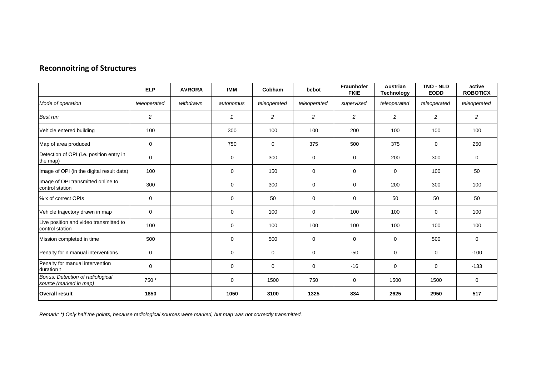|                                                            | <b>ELP</b>     | <b>AVRORA</b> | <b>IMM</b>   | Cobham         | bebot          | Fraunhofer<br><b>FKIE</b> | Austrian<br><b>Technology</b> | TNO - NLD<br><b>EODD</b> | active<br><b>ROBOTICX</b> |
|------------------------------------------------------------|----------------|---------------|--------------|----------------|----------------|---------------------------|-------------------------------|--------------------------|---------------------------|
| Mode of operation                                          | teleoperated   | withdrawn     | autonomus    | teleoperated   | teleoperated   | supervised                | teleoperated                  | teleoperated             | teleoperated              |
| <b>Best run</b>                                            | $\overline{c}$ |               | $\mathbf{1}$ | $\overline{c}$ | $\overline{2}$ | $\overline{c}$            | $\overline{c}$                | $\overline{c}$           | $\overline{c}$            |
| Vehicle entered building                                   | 100            |               | 300          | 100            | 100            | 200                       | 100                           | 100                      | 100                       |
| Map of area produced                                       | 0              |               | 750          | $\mathbf 0$    | 375            | 500                       | 375                           | $\mathbf 0$              | 250                       |
| Detection of OPI (i.e. position entry in<br>the map)       | $\mathbf 0$    |               | $\mathbf 0$  | 300            | $\mathbf 0$    | $\mathbf 0$               | 200                           | 300                      | 0                         |
| Image of OPI (in the digital result data)                  | 100            |               | $\mathbf 0$  | 150            | $\mathbf 0$    | $\mathbf 0$               | $\mathbf 0$                   | 100                      | 50                        |
| Image of OPI transmitted online to<br>control station      | 300            |               | $\mathbf 0$  | 300            | $\mathbf 0$    | $\mathbf 0$               | 200                           | 300                      | 100                       |
| % x of correct OPIs                                        | 0              |               | $\mathbf 0$  | 50             | $\mathbf 0$    | $\mathbf 0$               | 50                            | 50                       | 50                        |
| Vehicle trajectory drawn in map                            | 0              |               | $\mathbf 0$  | 100            | $\mathbf 0$    | 100                       | 100                           | $\mathbf 0$              | 100                       |
| Live position and video transmitted to<br>control station  | 100            |               | $\mathbf 0$  | 100            | 100            | 100                       | 100                           | 100                      | 100                       |
| Mission completed in time                                  | 500            |               | $\mathbf 0$  | 500            | $\mathbf 0$    | $\mathbf 0$               | $\mathbf 0$                   | 500                      | $\mathbf 0$               |
| Penalty for n manual interventions                         | 0              |               | $\Omega$     | $\mathbf 0$    | $\mathbf 0$    | $-50$                     | $\mathbf 0$                   | $\mathbf 0$              | $-100$                    |
| Penalty for manual intervention<br>duration t              | $\mathbf 0$    |               | $\mathbf 0$  | 0              | $\mathbf 0$    | $-16$                     | 0                             | $\mathbf 0$              | $-133$                    |
| Bonus: Detection of radiological<br>source (marked in map) | 750 *          |               | $\mathbf 0$  | 1500           | 750            | $\mathbf 0$               | 1500                          | 1500                     | 0                         |
| <b>Overall result</b>                                      | 1850           |               | 1050         | 3100           | 1325           | 834                       | 2625                          | 2950                     | 517                       |

*Remark: \*) Only half the points, because radiological sources were marked, but map was not correctly transmitted.*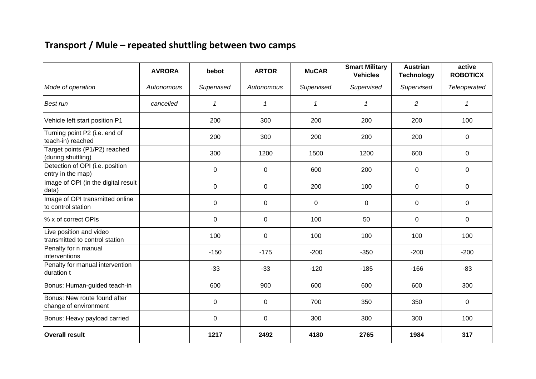## **Transport / Mule – repeated shuttling between two camps**

|                                                           | <b>AVRORA</b> | bebot        | <b>ARTOR</b> | <b>MuCAR</b> | <b>Smart Military</b><br><b>Vehicles</b> | <b>Austrian</b><br><b>Technology</b> | active<br><b>ROBOTICX</b> |
|-----------------------------------------------------------|---------------|--------------|--------------|--------------|------------------------------------------|--------------------------------------|---------------------------|
| Mode of operation                                         | Autonomous    | Supervised   | Autonomous   | Supervised   | Supervised                               | Supervised                           | Teleoperated              |
| Best run                                                  | cancelled     | $\mathbf{1}$ | 1            | $\mathcal I$ | $\mathcal I$                             | $\overline{c}$                       | $\mathcal I$              |
| Vehicle left start position P1                            |               | 200          | 300          | 200          | 200                                      | 200                                  | 100                       |
| Turning point P2 (i.e. end of<br>teach-in) reached        |               | 200          | 300          | 200          | 200                                      | 200                                  | 0                         |
| Target points (P1/P2) reached<br>(during shuttling)       |               | 300          | 1200         | 1500         | 1200                                     | 600                                  | $\mathbf 0$               |
| Detection of OPI (i.e. position<br>entry in the map)      |               | $\mathbf 0$  | 0            | 600          | 200                                      | 0                                    | $\mathbf 0$               |
| Image of OPI (in the digital result<br>data)              |               | $\mathbf 0$  | 0            | 200          | 100                                      | 0                                    | $\mathbf 0$               |
| Image of OPI transmitted online<br>to control station     |               | $\pmb{0}$    | 0            | $\mathbf 0$  | 0                                        | 0                                    | $\pmb{0}$                 |
| % x of correct OPIs                                       |               | $\pmb{0}$    | 0            | 100          | 50                                       | 0                                    | $\mathsf 0$               |
| Live position and video<br>transmitted to control station |               | 100          | 0            | 100          | 100                                      | 100                                  | 100                       |
| Penalty for n manual<br>interventions                     |               | $-150$       | $-175$       | $-200$       | $-350$                                   | $-200$                               | $-200$                    |
| Penalty for manual intervention<br>duration t             |               | $-33$        | $-33$        | $-120$       | $-185$                                   | $-166$                               | $-83$                     |
| Bonus: Human-guided teach-in                              |               | 600          | 900          | 600          | 600                                      | 600                                  | 300                       |
| Bonus: New route found after<br>change of environment     |               | $\pmb{0}$    | $\mathbf 0$  | 700          | 350                                      | 350                                  | $\mathsf 0$               |
| Bonus: Heavy payload carried                              |               | $\mathbf 0$  | 0            | 300          | 300                                      | 300                                  | 100                       |
| <b>Overall result</b>                                     |               | 1217         | 2492         | 4180         | 2765                                     | 1984                                 | 317                       |